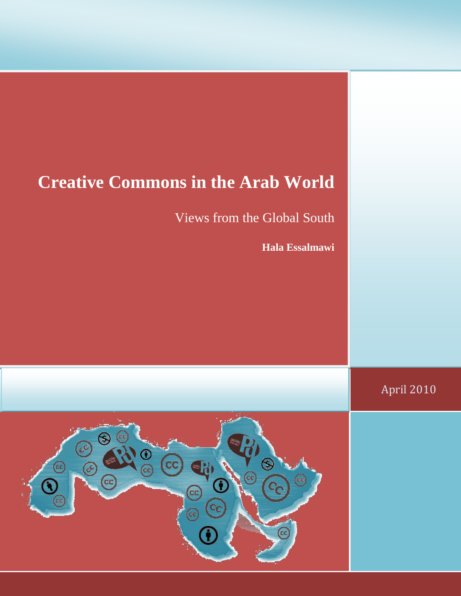## **Creative Commons in the Arab World**

Views from the Global South

**Hala Essalmawi**

April 2010

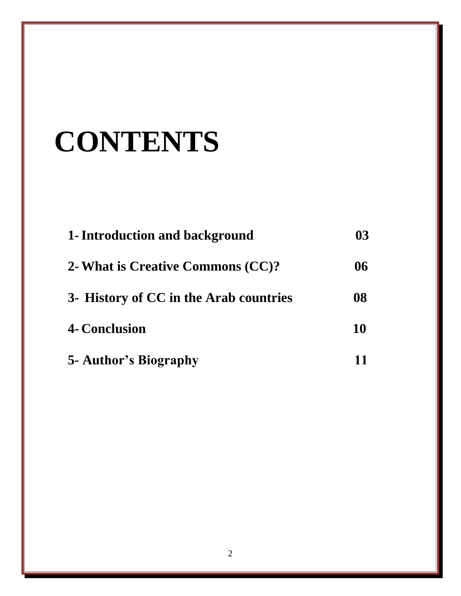# **CONTENTS**

| 1- Introduction and background                                              | 03       |
|-----------------------------------------------------------------------------|----------|
| 2- What is Creative Commons (CC)?<br>3- History of CC in the Arab countries | 06<br>08 |
|                                                                             |          |
| 5- Author's Biography                                                       |          |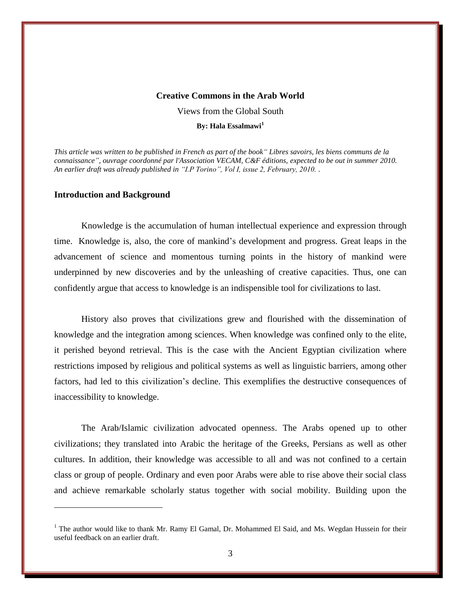#### **Creative Commons in the Arab World**

Views from the Global South

**By: Hala Essalmawi<sup>1</sup>**

*This article was written to be published in French as part of the book" Libres savoirs, les biens communs de la connaissance", ouvrage coordonné par l'Association VECAM, C&F éditions, expected to be out in summer 2010. An earlier draft was already published in "I.P Torino", Vol I, issue 2, February, 2010. .* 

#### **Introduction and Background**

 $\overline{a}$ 

Knowledge is the accumulation of human intellectual experience and expression through time. Knowledge is, also, the core of mankind's development and progress. Great leaps in the advancement of science and momentous turning points in the history of mankind were underpinned by new discoveries and by the unleashing of creative capacities. Thus, one can confidently argue that access to knowledge is an indispensible tool for civilizations to last.

History also proves that civilizations grew and flourished with the dissemination of knowledge and the integration among sciences. When knowledge was confined only to the elite, it perished beyond retrieval. This is the case with the Ancient Egyptian civilization where restrictions imposed by religious and political systems as well as linguistic barriers, among other factors, had led to this civilization's decline. This exemplifies the destructive consequences of inaccessibility to knowledge.

The Arab/Islamic civilization advocated openness. The Arabs opened up to other civilizations; they translated into Arabic the heritage of the Greeks, Persians as well as other cultures. In addition, their knowledge was accessible to all and was not confined to a certain class or group of people. Ordinary and even poor Arabs were able to rise above their social class and achieve remarkable scholarly status together with social mobility. Building upon the

<sup>&</sup>lt;sup>1</sup> The author would like to thank Mr. Ramy El Gamal, Dr. Mohammed El Said, and Ms. Wegdan Hussein for their useful feedback on an earlier draft.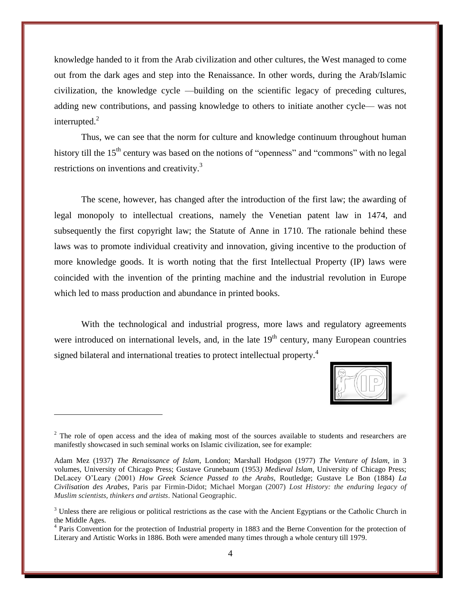knowledge handed to it from the Arab civilization and other cultures, the West managed to come out from the dark ages and step into the Renaissance. In other words, during the Arab/Islamic civilization, the knowledge cycle —building on the scientific legacy of preceding cultures, adding new contributions, and passing knowledge to others to initiate another cycle— was not interrupted.<sup>2</sup>

Thus, we can see that the norm for culture and knowledge continuum throughout human history till the 15<sup>th</sup> century was based on the notions of "openness" and "commons" with no legal restrictions on inventions and creativity.<sup>3</sup>

The scene, however, has changed after the introduction of the first law; the awarding of legal monopoly to intellectual creations, namely the Venetian patent law in 1474, and subsequently the first copyright law; the Statute of Anne in 1710. The rationale behind these laws was to promote individual creativity and innovation, giving incentive to the production of more knowledge goods. It is worth noting that the first Intellectual Property (IP) laws were coincided with the invention of the printing machine and the industrial revolution in Europe which led to mass production and abundance in printed books.

With the technological and industrial progress, more laws and regulatory agreements were introduced on international levels, and, in the late  $19<sup>th</sup>$  century, many European countries signed bilateral and international treaties to protect intellectual property.<sup>4</sup>



<sup>&</sup>lt;sup>2</sup> The role of open access and the idea of making most of the sources available to students and researchers are manifestly showcased in such seminal works on Islamic civilization, see for example:

Adam Mez (1937) *The Renaissance of Islam*, London; Marshall Hodgson (1977) *The Venture of Islam*, in 3 volumes, University of Chicago Press; Gustave Grunebaum (1953*) Medieval Islam*, University of Chicago Press; DeLacey O'Leary (2001) *How Greek Science Passed to the Arabs*, Routledge; Gustave Le Bon (1884) *La Civilisation des Arabes*, Paris par Firmin-Didot; Michael Morgan (2007) *Lost History: the enduring legacy of Muslim scientists, thinkers and artists*. National Geographic.

 $3$  Unless there are religious or political restrictions as the case with the Ancient Egyptians or the Catholic Church in the Middle Ages.

<sup>&</sup>lt;sup>4</sup> Paris Convention for the protection of Industrial property in 1883 and the Berne Convention for the protection of Literary and Artistic Works in 1886. Both were amended many times through a whole century till 1979.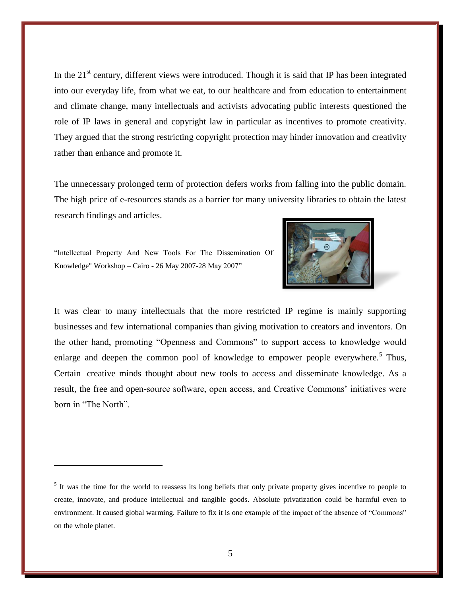In the  $21<sup>st</sup>$  century, different views were introduced. Though it is said that IP has been integrated into our everyday life, from what we eat, to our healthcare and from education to entertainment and climate change, many intellectuals and activists advocating public interests questioned the role of IP laws in general and copyright law in particular as incentives to promote creativity. They argued that the strong restricting copyright protection may hinder innovation and creativity rather than enhance and promote it.

The unnecessary prolonged term of protection defers works from falling into the public domain. The high price of e-resources stands as a barrier for many university libraries to obtain the latest research findings and articles.



"Intellectual Property And New Tools For The Dissemination Of Knowledge" Workshop – Cairo - 26 May 2007-28 May 2007"

 $\overline{a}$ 

It was clear to many intellectuals that the more restricted IP regime is mainly supporting businesses and few international companies than giving motivation to creators and inventors. On the other hand, promoting "Openness and Commons" to support access to knowledge would enlarge and deepen the common pool of knowledge to empower people everywhere.<sup>5</sup> Thus, Certain creative minds thought about new tools to access and disseminate knowledge. As a result, the free and open-source software, open access, and Creative Commons' initiatives were born in "The North".

<sup>&</sup>lt;sup>5</sup> It was the time for the world to reassess its long beliefs that only private property gives incentive to people to create, innovate, and produce intellectual and tangible goods. Absolute privatization could be harmful even to environment. It caused global warming. Failure to fix it is one example of the impact of the absence of "Commons" on the whole planet.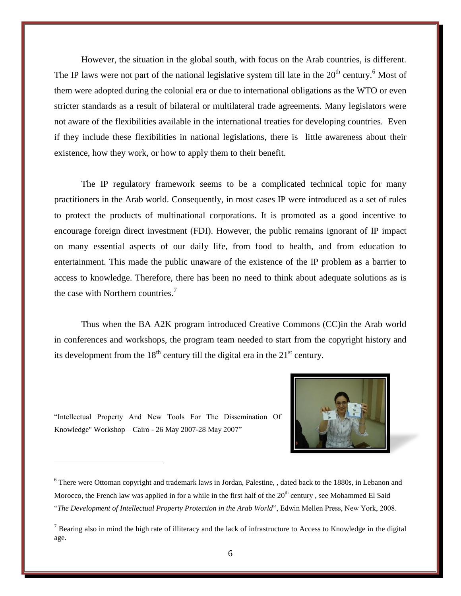However, the situation in the global south, with focus on the Arab countries, is different. The IP laws were not part of the national legislative system till late in the  $20<sup>th</sup>$  century.<sup>6</sup> Most of them were adopted during the colonial era or due to international obligations as the WTO or even stricter standards as a result of bilateral or multilateral trade agreements. Many legislators were not aware of the flexibilities available in the international treaties for developing countries. Even if they include these flexibilities in national legislations, there is little awareness about their existence, how they work, or how to apply them to their benefit.

The IP regulatory framework seems to be a complicated technical topic for many practitioners in the Arab world. Consequently, in most cases IP were introduced as a set of rules to protect the products of multinational corporations. It is promoted as a good incentive to encourage foreign direct investment (FDI). However, the public remains ignorant of IP impact on many essential aspects of our daily life, from food to health, and from education to entertainment. This made the public unaware of the existence of the IP problem as a barrier to access to knowledge. Therefore, there has been no need to think about adequate solutions as is the case with Northern countries.<sup>7</sup>

Thus when the BA A2K program introduced Creative Commons (CC)in the Arab world in conferences and workshops, the program team needed to start from the copyright history and its development from the  $18<sup>th</sup>$  century till the digital era in the  $21<sup>st</sup>$  century.

"Intellectual Property And New Tools For The Dissemination Of Knowledge" Workshop – Cairo - 26 May 2007-28 May 2007"



<sup>&</sup>lt;sup>6</sup> There were Ottoman copyright and trademark laws in Jordan, Palestine, , dated back to the 1880s, in Lebanon and Morocco, the French law was applied in for a while in the first half of the  $20<sup>th</sup>$  century, see Mohammed El Said ―*The Development of Intellectual Property Protection in the Arab World*‖, Edwin Mellen Press, New York, 2008.

<sup>&</sup>lt;sup>7</sup> Bearing also in mind the high rate of illiteracy and the lack of infrastructure to Access to Knowledge in the digital age.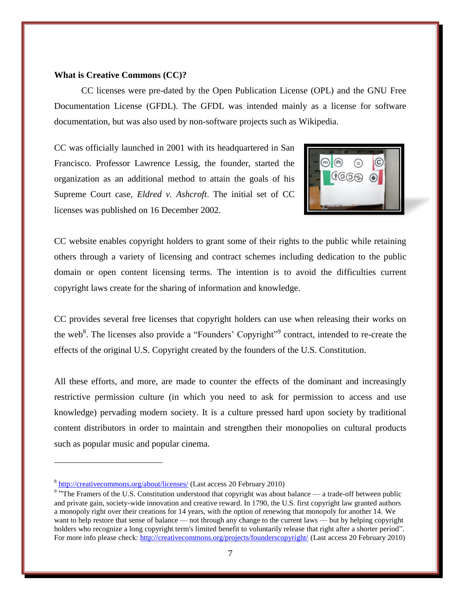#### **What is Creative Commons (CC)?**

CC licenses were pre-dated by the Open Publication License (OPL) and the GNU Free Documentation License (GFDL). The GFDL was intended mainly as a license for software documentation, but was also used by non-software projects such as Wikipedia.

CC was officially launched in 2001 with its headquartered in San Francisco. Professor Lawrence Lessig, the founder, started the organization as an additional method to attain the goals of his Supreme Court case, *Eldred v. Ashcroft*. The initial set of CC licenses was published on 16 December 2002.



CC website enables copyright holders to grant some of their rights to the public while retaining others through a variety of licensing and contract schemes including dedication to the public domain or open content licensing terms. The intention is to avoid the difficulties current copyright laws create for the sharing of information and knowledge.

CC provides several free licenses that copyright holders can use when releasing their works on the web<sup>8</sup>. The licenses also provide a "Founders' Copyright"<sup>9</sup> contract, intended to re-create the effects of the original U.S. Copyright created by the founders of the U.S. Constitution.

All these efforts, and more, are made to counter the effects of the dominant and increasingly restrictive permission culture (in which you need to ask for permission to access and use knowledge) pervading modern society. It is a culture pressed hard upon society by traditional content distributors in order to maintain and strengthen their monopolies on cultural products such as popular music and popular cinema.

<sup>&</sup>lt;sup>8</sup> <http://creativecommons.org/about/licenses/> (Last access 20 February 2010)

<sup>&</sup>lt;sup>9</sup> "The Framers of the U.S. Constitution understood that copyright was about balance — a trade-off between public and private gain, society-wide innovation and creative reward. In 1790, the U.S. first copyright law granted authors a monopoly right over their creations for 14 years, with the option of renewing that monopoly for another 14. We want to help restore that sense of balance — not through any change to the current laws — but by helping copyright holders who recognize a long copyright term's limited benefit to voluntarily release that right after a shorter period". For more info please check:<http://creativecommons.org/projects/founderscopyright/> (Last access 20 February 2010)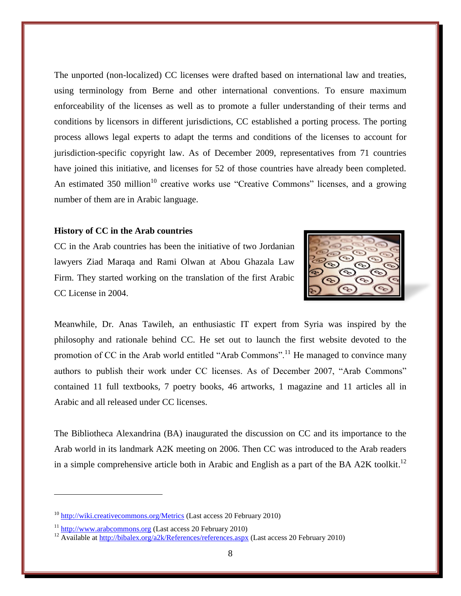The unported (non-localized) CC licenses were drafted based on international law and treaties, using terminology from Berne and other international conventions. To ensure maximum enforceability of the licenses as well as to promote a fuller understanding of their terms and conditions by licensors in different jurisdictions, CC established a porting process. The porting process allows legal experts to adapt the terms and conditions of the licenses to account for jurisdiction-specific copyright law. As of December 2009, representatives from 71 countries have joined this initiative, and licenses for 52 of those countries have already been completed. An estimated  $350$  million<sup>10</sup> creative works use "Creative Commons" licenses, and a growing number of them are in Arabic language.

#### **History of CC in the Arab countries**

CC in the Arab countries has been the initiative of two Jordanian lawyers Ziad Maraqa and Rami Olwan at Abou Ghazala Law Firm. They started working on the translation of the first Arabic CC License in 2004.

Meanwhile, Dr. Anas Tawileh, an enthusiastic IT expert from Syria was inspired by the philosophy and rationale behind CC. He set out to launch the first website devoted to the promotion of CC in the Arab world entitled "Arab Commons".<sup>11</sup> He managed to convince many authors to publish their work under CC licenses. As of December 2007, "Arab Commons" contained 11 full textbooks, 7 poetry books, 46 artworks, 1 magazine and 11 articles all in Arabic and all released under CC licenses.

The Bibliotheca Alexandrina (BA) inaugurated the discussion on CC and its importance to the Arab world in its landmark A2K meeting on 2006. Then CC was introduced to the Arab readers in a simple comprehensive article both in Arabic and English as a part of the BA A2K toolkit.<sup>12</sup>

 $10$  <http://wiki.creativecommons.org/Metrics> (Last access 20 February 2010)

<sup>&</sup>lt;sup>11</sup> [http://www.arabcommons.org](http://www.arabcommons.org/) (Last access 20 February 2010)

<sup>&</sup>lt;sup>12</sup> Available at<http://bibalex.org/a2k/References/references.aspx> (Last access 20 February 2010)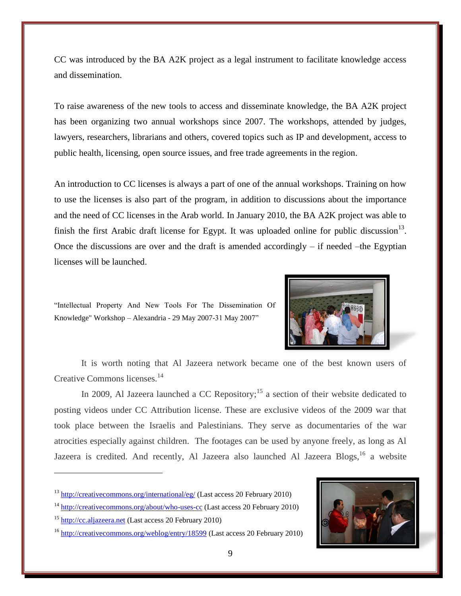CC was introduced by the BA A2K project as a legal instrument to facilitate knowledge access and dissemination.

To raise awareness of the new tools to access and disseminate knowledge, the BA A2K project has been organizing two annual workshops since 2007. The workshops, attended by judges, lawyers, researchers, librarians and others, covered topics such as IP and development, access to public health, licensing, open source issues, and free trade agreements in the region.

An introduction to CC licenses is always a part of one of the annual workshops. Training on how to use the licenses is also part of the program, in addition to discussions about the importance and the need of CC licenses in the Arab world. In January 2010, the BA A2K project was able to finish the first Arabic draft license for Egypt. It was uploaded online for public discussion<sup>13</sup>. Once the discussions are over and the draft is amended accordingly  $-$  if needed  $-$ the Egyptian licenses will be launched.

"Intellectual Property And New Tools For The Dissemination Of Knowledge" Workshop - Alexandria - 29 May 2007-31 May 2007"



It is worth noting that Al Jazeera network became one of the best known users of Creative Commons licenses.<sup>14</sup>

In 2009, Al Jazeera launched a CC Repository;<sup>15</sup> a section of their website dedicated to posting videos under CC Attribution license. These are exclusive videos of the 2009 war that took place between the Israelis and Palestinians. They serve as documentaries of the war atrocities especially against children. The footages can be used by anyone freely, as long as Al Jazeera is credited. And recently, Al Jazeera also launched Al Jazeera Blogs, <sup>16</sup> a website

<sup>16</sup> <http://creativecommons.org/weblog/entry/18599> (Last access 20 February 2010)



<sup>&</sup>lt;sup>13</sup> <http://creativecommons.org/international/eg/> (Last access 20 February 2010)

<sup>&</sup>lt;sup>14</sup> <http://creativecommons.org/about/who-uses-cc> (Last access 20 February 2010)

<sup>15</sup> [http://cc.aljazeera.net](http://cc.aljazeera.net/) (Last access 20 February 2010)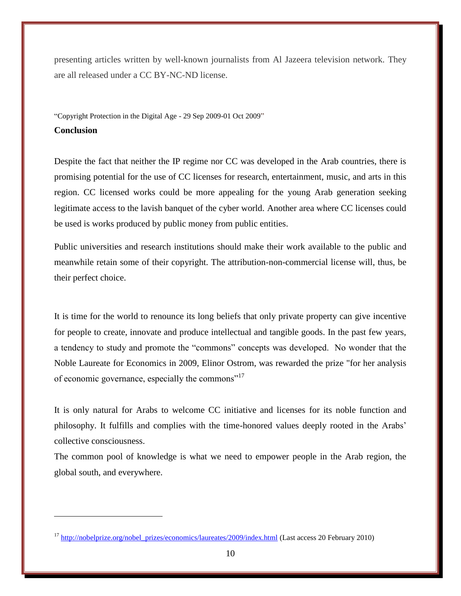presenting articles written by well-known journalists from Al Jazeera television network. They are all released under a CC BY-NC-ND license.

"Copyright Protection in the Digital Age - 29 Sep 2009-01 Oct 2009" **Conclusion**

Despite the fact that neither the IP regime nor CC was developed in the Arab countries, there is promising potential for the use of CC licenses for research, entertainment, music, and arts in this region. CC licensed works could be more appealing for the young Arab generation seeking legitimate access to the lavish banquet of the cyber world. Another area where CC licenses could be used is works produced by public money from public entities.

Public universities and research institutions should make their work available to the public and meanwhile retain some of their copyright. The attribution-non-commercial license will, thus, be their perfect choice.

It is time for the world to renounce its long beliefs that only private property can give incentive for people to create, innovate and produce intellectual and tangible goods. In the past few years, a tendency to study and promote the "commons" concepts was developed. No wonder that the Noble Laureate for Economics in 2009, Elinor Ostrom, was rewarded the prize "for her analysis of economic governance, especially the commons"<sup>17</sup>

It is only natural for Arabs to welcome CC initiative and licenses for its noble function and philosophy. It fulfills and complies with the time-honored values deeply rooted in the Arabs' collective consciousness.

The common pool of knowledge is what we need to empower people in the Arab region, the global south, and everywhere.

<sup>&</sup>lt;sup>17</sup> [http://nobelprize.org/nobel\\_prizes/economics/laureates/2009/index.html](http://nobelprize.org/nobel_prizes/economics/laureates/2009/index.html) (Last access 20 February 2010)